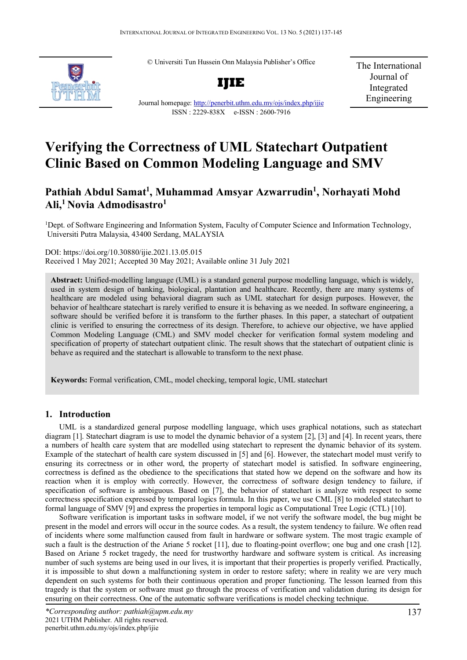© Universiti Tun Hussein Onn Malaysia Publisher's Office



**IJIE**

The International Journal of Integrated Engineering

# Journal homepage:<http://penerbit.uthm.edu.my/ojs/index.php/ijie> ISSN : 2229-838X e-ISSN : 2600-7916

# **Verifying the Correctness of UML Statechart Outpatient Clinic Based on Common Modeling Language and SMV**

# **Pathiah Abdul Samat1 , Muhammad Amsyar Azwarrudin1 , Norhayati Mohd Ali,1 Novia Admodisastro1**

<sup>1</sup>Dept. of Software Engineering and Information System, Faculty of Computer Science and Information Technology, Universiti Putra Malaysia, 43400 Serdang, MALAYSIA

DOI: https://doi.org/10.30880/ijie.2021.13.05.015 Received 1 May 2021; Accepted 30 May 2021; Available online 31 July 2021

**Abstract:** Unified-modelling language (UML) is a standard general purpose modelling language, which is widely, used in system design of banking, biological, plantation and healthcare. Recently, there are many systems of healthcare are modeled using behavioral diagram such as UML statechart for design purposes. However, the behavior of healthcare statechart is rarely verified to ensure it is behaving as we needed. In software engineering, a software should be verified before it is transform to the further phases. In this paper, a statechart of outpatient clinic is verified to ensuring the correctness of its design. Therefore, to achieve our objective, we have applied Common Modeling Language (CML) and SMV model checker for verification formal system modeling and specification of property of statechart outpatient clinic. The result shows that the statechart of outpatient clinic is behave as required and the statechart is allowable to transform to the next phase.

**Keywords:** Formal verification, CML, model checking, temporal logic, UML statechart

# **1. Introduction**

UML is a standardized general purpose modelling language, which uses graphical notations, such as statechart diagram [1]. Statechart diagram is use to model the dynamic behavior of a system [2], [3] and [4]. In recent years, there a numbers of health care system that are modelled using statechart to represent the dynamic behavior of its system. Example of the statechart of health care system discussed in [5] and [6]. However, the statechart model must verify to ensuring its correctness or in other word, the property of statechart model is satisfied. In software engineering, correctness is defined as the obedience to the specifications that stated how we depend on the software and how its reaction when it is employ with correctly. However, the correctness of software design tendency to failure, if specification of software is ambiguous. Based on [7], the behavior of statechart is analyze with respect to some correctness specification expressed by temporal logics formula. In this paper, we use CML [8] to modeled statechart to formal language of SMV [9] and express the properties in temporal logic as Computational Tree Logic (CTL) [10].

Software verification is important tasks in software model, if we not verify the software model, the bug might be present in the model and errors will occur in the source codes. As a result, the system tendency to failure. We often read of incidents where some malfunction caused from fault in hardware or software system. The most tragic example of such a fault is the destruction of the Ariane 5 rocket [11], due to floating-point overflow; one bug and one crash [12]. Based on Ariane 5 rocket tragedy, the need for trustworthy hardware and software system is critical. As increasing number of such systems are being used in our lives, it is important that their properties is properly verified. Practically, it is impossible to shut down a malfunctioning system in order to restore safety; where in reality we are very much dependent on such systems for both their continuous operation and proper functioning. The lesson learned from this tragedy is that the system or software must go through the process of verification and validation during its design for ensuring on their correctness. One of the automatic software verifications is model checking technique.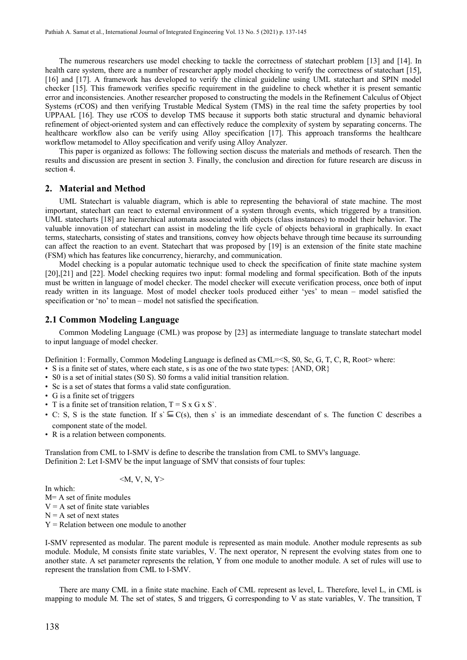The numerous researchers use model checking to tackle the correctness of statechart problem [13] and [14]. In health care system, there are a number of researcher apply model checking to verify the correctness of statechart [15], [16] and [17]. A framework has developed to verify the clinical guideline using UML statechart and SPIN model checker [15]. This framework verifies specific requirement in the guideline to check whether it is present semantic error and inconsistencies. Another researcher proposed to constructing the models in the Refinement Calculus of Object Systems (rCOS) and then verifying Trustable Medical System (TMS) in the real time the safety properties by tool UPPAAL [16]. They use rCOS to develop TMS because it supports both static structural and dynamic behavioral refinement of object-oriented system and can effectively reduce the complexity of system by separating concerns. The healthcare workflow also can be verify using Alloy specification [17]. This approach transforms the healthcare workflow metamodel to Alloy specification and verify using Alloy Analyzer.

This paper is organized as follows: The following section discuss the materials and methods of research. Then the results and discussion are present in section 3. Finally, the conclusion and direction for future research are discuss in section 4.

# **2. Material and Method**

UML Statechart is valuable diagram, which is able to representing the behavioral of state machine. The most important, statechart can react to external environment of a system through events, which triggered by a transition. UML statecharts [18] are hierarchical automata associated with objects (class instances) to model their behavior. The valuable innovation of statechart can assist in modeling the life cycle of objects behavioral in graphically. In exact terms, statecharts, consisting of states and transitions, convey how objects behave through time because its surrounding can affect the reaction to an event. Statechart that was proposed by [19] is an extension of the finite state machine (FSM) which has features like concurrency, hierarchy, and communication.

Model checking is a popular automatic technique used to check the specification of finite state machine system [20],[21] and [22]. Model checking requires two input: formal modeling and formal specification. Both of the inputs must be written in language of model checker. The model checker will execute verification process, once both of input ready written in its language. Most of model checker tools produced either 'yes' to mean – model satisfied the specification or 'no' to mean – model not satisfied the specification.

#### **2.1 Common Modeling Language**

Common Modeling Language (CML) was propose by [23] as intermediate language to translate statechart model to input language of model checker.

Definition 1: Formally, Common Modeling Language is defined as CML=<S, S0, Sc, G, T, C, R, Root> where:

- S is a finite set of states, where each state, s is as one of the two state types: {AND, OR}
- S0 is a set of initial states (S0 S). S0 forms a valid initial transition relation.
- Sc is a set of states that forms a valid state configuration.
- G is a finite set of triggers
- T is a finite set of transition relation,  $T = S \times G \times S'$ .
- C: S, S is the state function. If  $s' \subseteq C(s)$ , then s is an immediate descendant of s. The function C describes a component state of the model.
- R is a relation between components.

Translation from CML to I-SMV is define to describe the translation from CML to SMV's language. Definition 2: Let I-SMV be the input language of SMV that consists of four tuples:

$$
\langle M, V, N, Y \rangle
$$

In which:

M= A set of finite modules

 $V = A$  set of finite state variables

 $N = A$  set of next states

 $Y =$  Relation between one module to another

I-SMV represented as modular. The parent module is represented as main module. Another module represents as sub module. Module, M consists finite state variables, V. The next operator, N represent the evolving states from one to another state. A set parameter represents the relation, Y from one module to another module. A set of rules will use to represent the translation from CML to I-SMV.

There are many CML in a finite state machine. Each of CML represent as level, L. Therefore, level L, in CML is mapping to module M. The set of states, S and triggers, G corresponding to V as state variables, V. The transition, T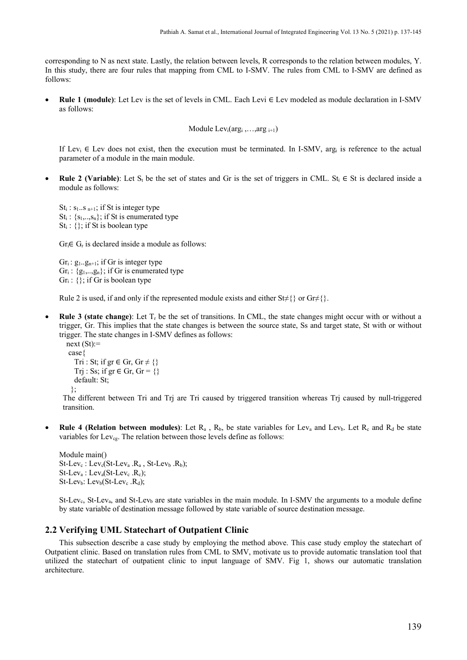corresponding to N as next state. Lastly, the relation between levels, R corresponds to the relation between modules, Y. In this study, there are four rules that mapping from CML to I-SMV. The rules from CML to I-SMV are defined as follows:

• **Rule 1 (module)**: Let Lev is the set of levels in CML. Each Levi ∈ Lev modeled as module declaration in I-SMV as follows:

```
Module Levi(argi ,…,arg i+1)
```
If Lev<sub>i</sub>  $\in$  Lev does not exist, then the execution must be terminated. In I-SMV, arg<sub>i</sub> is reference to the actual parameter of a module in the main module.

• **Rule 2 (Variable)**: Let S<sub>t</sub> be the set of states and Gr is the set of triggers in CML. St<sub>i</sub>  $\in$  St is declared inside a module as follows:

 $St_i : s_1..s_{n+1}$ ; if St is integer type  $St_i$ : { $s_1, ..., s_n$ }; if St is enumerated type  $St_i : \{\}$ ; if St is boolean type

 $Gr_i \in G_r$  is declared inside a module as follows:

 $Gr_i: g_1...g_{n+1}$ ; if Gr is integer type  $Gr_i: \{g_1, g_n\}$ ; if Gr is enumerated type  $Gr_i: \{\};$  if Gr is boolean type

Rule 2 is used, if and only if the represented module exists and either St≠{} or Gr≠{}.

• **Rule 3 (state change)**: Let Tr be the set of transitions. In CML, the state changes might occur with or without a trigger, Gr. This implies that the state changes is between the source state, Ss and target state, St with or without trigger. The state changes in I-SMV defines as follows:

```
next (St):=case{ 
   Tri : St; if gr \in Gr, Gr \neq {}
   Trj : Ss; if gr \in Gr, Gr = \{\} default: St; 
  };
```
The different between Tri and Trj are Tri caused by triggered transition whereas Trj caused by null-triggered transition.

• **Rule 4 (Relation between modules)**: Let  $R_a$ ,  $R_b$ , be state variables for Lev<sub>a</sub> and Lev<sub>b</sub>. Let  $R_c$  and  $R_d$  be state variables for Lev<sub>cg</sub>. The relation between those levels define as follows:

Module main()  $St-Lev_c$ : Lev<sub>c</sub>(St-Lev<sub>a</sub> .R<sub>a</sub>, St-Lev<sub>b</sub> .R<sub>b</sub>);  $St-Lev_a: Lev_a(St-Lev_c. R_c);$  $St-Lev_b$ : Lev $_b(St-Lev_c \cdot R_d)$ ;

St-Lev<sub>c</sub>, St-Lev<sub>a</sub>, and St-Lev<sub>b</sub> are state variables in the main module. In I-SMV the arguments to a module define by state variable of destination message followed by state variable of source destination message.

# **2.2 Verifying UML Statechart of Outpatient Clinic**

This subsection describe a case study by employing the method above. This case study employ the statechart of Outpatient clinic. Based on translation rules from CML to SMV, motivate us to provide automatic translation tool that utilized the statechart of outpatient clinic to input language of SMV. Fig 1, shows our automatic translation architecture.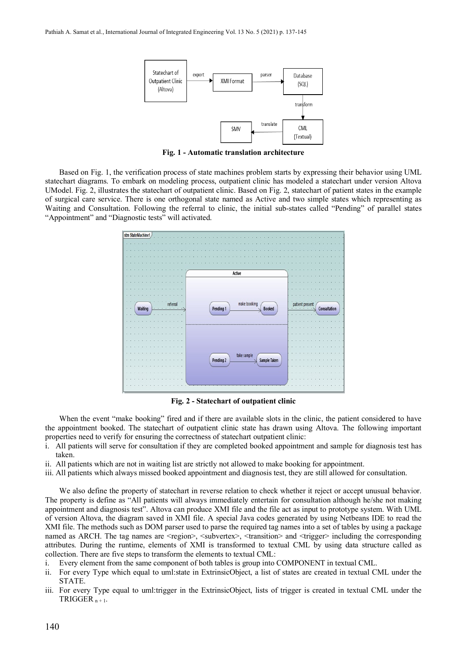

**Fig. 1 - Automatic translation architecture**

Based on Fig. 1, the verification process of state machines problem starts by expressing their behavior using UML statechart diagrams. To embark on modeling process, outpatient clinic has modeled a statechart under version Altova UModel. Fig. 2, illustrates the statechart of outpatient clinic. Based on Fig. 2, statechart of patient states in the example of surgical care service. There is one orthogonal state named as Active and two simple states which representing as Waiting and Consultation. Following the referral to clinic, the initial sub-states called "Pending" of parallel states "Appointment" and "Diagnostic tests" will activated.



**Fig. 2 - Statechart of outpatient clinic**

When the event "make booking" fired and if there are available slots in the clinic, the patient considered to have the appointment booked. The statechart of outpatient clinic state has drawn using Altova. The following important properties need to verify for ensuring the correctness of statechart outpatient clinic:

- i. All patients will serve for consultation if they are completed booked appointment and sample for diagnosis test has taken.
- ii. All patients which are not in waiting list are strictly not allowed to make booking for appointment.
- iii. All patients which always missed booked appointment and diagnosis test, they are still allowed for consultation.

We also define the property of statechart in reverse relation to check whether it reject or accept unusual behavior. The property is define as "All patients will always immediately entertain for consultation although he/she not making appointment and diagnosis test". Altova can produce XMI file and the file act as input to prototype system. With UML of version Altova, the diagram saved in XMI file. A special Java codes generated by using Netbeans IDE to read the XMI file. The methods such as DOM parser used to parse the required tag names into a set of tables by using a package named as ARCH. The tag names are  $\leq$ region $\geq$ ,  $\leq$ subvertex $\geq$ ,  $\leq$ transition $\geq$  and  $\leq$ trigger $\geq$  including the corresponding attributes. During the runtime, elements of XMI is transformed to textual CML by using data structure called as collection. There are five steps to transform the elements to textual CML:

- i. Every element from the same component of both tables is group into COMPONENT in textual CML.
- ii. For every Type which equal to uml:state in ExtrinsicObject, a list of states are created in textual CML under the STATE.
- iii. For every Type equal to uml:trigger in the ExtrinsicObject, lists of trigger is created in textual CML under the TRIGGER  $n + 1$ .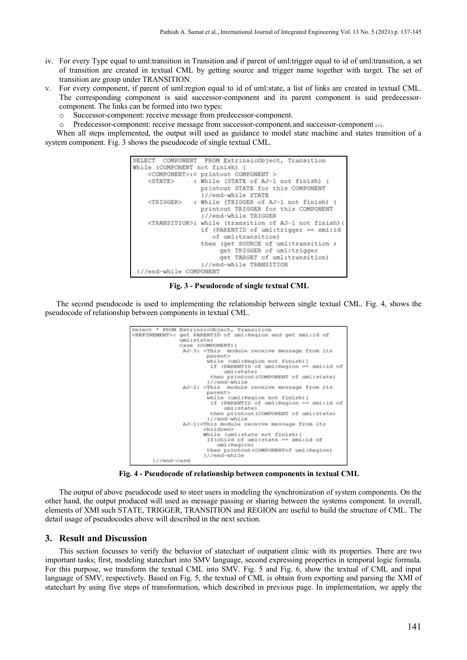- iv. For every Type equal to uml:transition in Transition and if parent of uml:trigger equal to id of uml:transition, a set of transition are created in textual CML by getting source and trigger name together with target. The set of transition are group under TRANSITION.
- v. For every component, if parent of uml:region equal to id of uml:state, a list of links are created in textual CML. The corresponding component is said successor-component and its parent component is said predecessorcomponent. The links can be formed into two types:
	- o Successor-component: receive message from predecessor-component.
	- Predecessor-component: receive message from successor-component<sub>i</sub> and successor-component <sub>i+1</sub>.

When all steps implemented, the output will used as guidance to model state machine and states transition of a system component. Fig. 3 shows the pseudocode of single textual CML.



**Fig. 3 - Pseudocode of single textual CML**

The second pseudocode is used to implementing the relationship between single textual CML. Fig. 4, shows the pseudocode of relationship between components in textual CML.



**Fig. 4 - Pseudocode of relationship between components in textual CML**

The output of above pseudocode used to steer users in modeling the synchronization of system components. On the other hand, the output produced will used as message passing or sharing between the systems component. In overall, elements of XMI such STATE, TRIGGER, TRANSITION and REGION are useful to build the structure of CML. The detail usage of pseudocodes above will described in the next section.

# **3. Result and Discussion**

This section focusses to verify the behavior of statechart of outpatient clinic with its properties. There are two important tasks; first, modeling statechart into SMV language, second expressing properties in temporal logic formula. For this purpose, we transform the textual CML into SMV. Fig. 5 and Fig. 6, show the textual of CML and input language of SMV, respectively. Based on Fig. 5, the textual of CML is obtain from exporting and parsing the XMI of statechart by using five steps of transformation, which described in previous page. In implementation, we apply the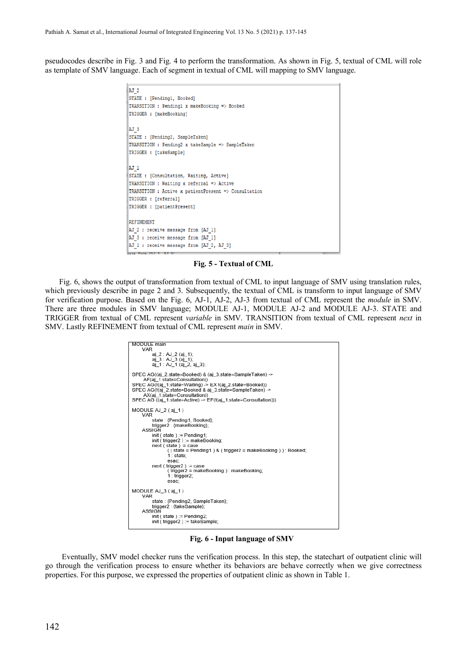pseudocodes describe in Fig. 3 and Fig. 4 to perform the transformation. As shown in Fig. 5, textual of CML will role as template of SMV language. Each of segment in textual of CML will mapping to SMV language.

```
AJ 2
STATE : [Pendingl, Booked]
TRANSITION : Pendingl x makeBooking => Booked
TRIGGER : [makeBooking]
AJ 3
STATE : [Pending2, SampleTaken]
TRANSITION : Pending2 x takeSample => SampleTaken
TRIGGER : ftakeSample1
AJ 1
STATE : [Consultation, Waiting, Active]
TRANSITION : Waiting x referral => Active
TRANSITION : Active x patientPresent => Consultation
TRIGGER : [referral]
TRIGGER : [patientPresent]
REFINEMENT
AJ_2 : receive message from [AJ_1]
AJ 3 : receive message from [AJ 1]
AJ_1 : receive message from [AJ_2, AJ_3]
 na Fr
```
**Fig. 5 - Textual of CML**

Fig. 6, shows the output of transformation from textual of CML to input language of SMV using translation rules, which previously describe in page 2 and 3. Subsequently, the textual of CML is transform to input language of SMV for verification purpose. Based on the Fig. 6, AJ-1, AJ-2, AJ-3 from textual of CML represent the *module* in SMV. There are three modules in SMV language; MODULE AJ-1, MODULE AJ-2 and MODULE AJ-3. STATE and TRIGGER from textual of CML represent *variable* in SMV. TRANSITION from textual of CML represent *next* in SMV. Lastly REFINEMENT from textual of CML represent *main* in SMV.



**Fig. 6 - Input language of SMV**

Eventually, SMV model checker runs the verification process. In this step, the statechart of outpatient clinic will go through the verification process to ensure whether its behaviors are behave correctly when we give correctness properties. For this purpose, we expressed the properties of outpatient clinic as shown in Table 1.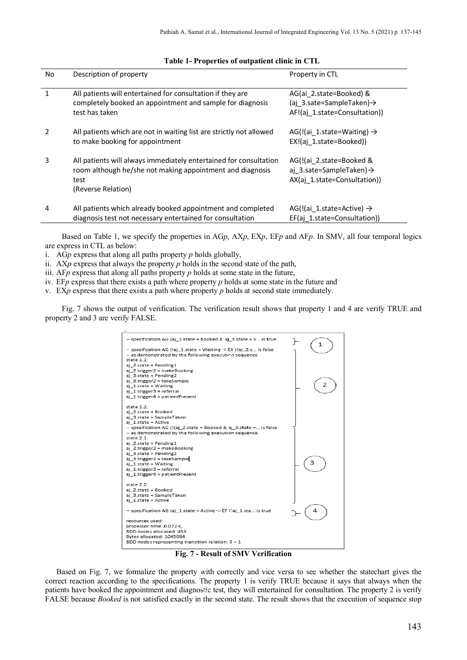| No | Description of property                                                                                                                                      | Property in CTL                                                                                   |
|----|--------------------------------------------------------------------------------------------------------------------------------------------------------------|---------------------------------------------------------------------------------------------------|
|    | All patients will entertained for consultation if they are<br>completely booked an appointment and sample for diagnosis<br>test has taken                    | AG(ai 2.state=Booked) &<br>(ai 3.sate=SampleTaken) $\rightarrow$<br>AF!(aj 1.state=Consultation)) |
|    | All patients which are not in waiting list are strictly not allowed<br>to make booking for appointment                                                       | AG(!(ai 1.state=Waiting) $\rightarrow$<br>EX!(aj 1.state=Booked))                                 |
| 3  | All patients will always immediately entertained for consultation<br>room although he/she not making appointment and diagnosis<br>test<br>(Reverse Relation) | AG(!(ai 2.state=Booked &<br>aj 3.sate=SampleTaken) $\rightarrow$<br>AX(aj 1.state=Consultation))  |
| 4  | All patients which already booked appointment and completed<br>diagnosis test not necessary entertained for consultation                                     | AG(!(ai 1.state=Active) $\rightarrow$<br>EF(aj 1.state=Consultation))                             |

#### **Table 1- Properties of outpatient clinic in CTL**

Based on Table 1, we specify the properties in AG*p*, AX*p*, EX*p*, EF*p* and AF*p*. In SMV, all four temporal logics are express in CTL as below:

i. AG*p* express that along all paths property *p* holds globally,

- ii. AX*p* express that always the property *p* holds in the second state of the path,
- iii. AF $p$  express that along all paths property  $p$  holds at some state in the future,
- iv. EF*p* express that there exists a path where property *p* holds at some state in the future and

v. EX*p* express that there exists a path where property *p* holds at second state immediately.

Fig. 7 shows the output of verification. The verification result shows that property 1 and 4 are verify TRUE and property 2 and 3 are verify FALSE.



**Fig. 7 - Result of SMV Verification**

Based on Fig. 7, we formalize the property with correctly and vice versa to see whether the statechart gives the correct reaction according to the specifications. The property 1 is verify TRUE because it says that always when the patients have booked the appointment and diagnostic test, they will entertained for consultation. The property 2 is verify FALSE because *Booked* is not satisfied exactly in the second state. The result shows that the execution of sequence stop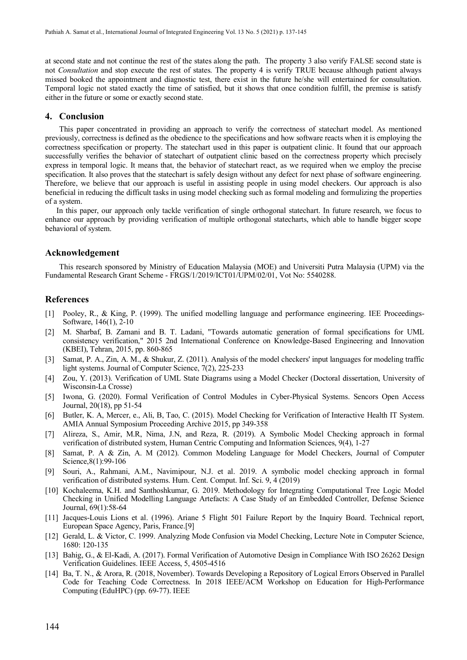at second state and not continue the rest of the states along the path. The property 3 also verify FALSE second state is not *Consultation* and stop execute the rest of states. The property 4 is verify TRUE because although patient always missed booked the appointment and diagnostic test, there exist in the future he/she will entertained for consultation. Temporal logic not stated exactly the time of satisfied, but it shows that once condition fulfill, the premise is satisfy either in the future or some or exactly second state.

# **4. Conclusion**

This paper concentrated in providing an approach to verify the correctness of statechart model. As mentioned previously, correctness is defined as the obedience to the specifications and how software reacts when it is employing the correctness specification or property. The statechart used in this paper is outpatient clinic. It found that our approach successfully verifies the behavior of statechart of outpatient clinic based on the correctness property which precisely express in temporal logic. It means that, the behavior of statechart react, as we required when we employ the precise specification. It also proves that the statechart is safely design without any defect for next phase of software engineering. Therefore, we believe that our approach is useful in assisting people in using model checkers. Our approach is also beneficial in reducing the difficult tasks in using model checking such as formal modeling and formulizing the properties of a system.

In this paper, our approach only tackle verification of single orthogonal statechart. In future research, we focus to enhance our approach by providing verification of multiple orthogonal statecharts, which able to handle bigger scope behavioral of system.

## **Acknowledgement**

This research sponsored by Ministry of Education Malaysia (MOE) and Universiti Putra Malaysia (UPM) via the Fundamental Research Grant Scheme - FRGS/1/2019/ICT01/UPM/02/01, Vot No: 5540288.

# **References**

- [1] Pooley, R., & King, P. (1999). The unified modelling language and performance engineering. IEE Proceedings-Software, 146(1), 2-10
- [2] M. Sharbaf, B. Zamani and B. T. Ladani, "Towards automatic generation of formal specifications for UML consistency verification," 2015 2nd International Conference on Knowledge-Based Engineering and Innovation (KBEI), Tehran, 2015, pp. 860-865
- [3] Samat, P. A., Zin, A. M., & Shukur, Z. (2011). Analysis of the model checkers' input languages for modeling traffic light systems. Journal of Computer Science, 7(2), 225-233
- [4] Zou, Y. (2013). Verification of UML State Diagrams using a Model Checker (Doctoral dissertation, University of Wisconsin-La Crosse)
- [5] Iwona, G. (2020). Formal Verification of Control Modules in Cyber-Physical Systems. Sencors Open Access Journal, 20(18), pp 51-54
- [6] Butler, K. A, Mercer, e., Ali, B, Tao, C. (2015). Model Checking for Verification of Interactive Health IT System. AMIA Annual Symposium Proceeding Archive 2015, pp 349-358
- [7] Alireza, S., Amir, M.R, Nima, J.N, and Reza, R. (2019). A Symbolic Model Checking approach in formal verification of distributed system, Human Centric Computing and Information Sciences, 9(4), 1-27
- [8] Samat, P. A & Zin, A. M (2012). Common Modeling Language for Model Checkers, Journal of Computer Science,8(1):99-106
- [9] Souri, A., Rahmani, A.M., Navimipour, N.J. et al. 2019. A symbolic model checking approach in formal verification of distributed systems. Hum. Cent. Comput. Inf. Sci. 9, 4 (2019)
- [10] Kochaleema, K.H. and Santhoshkumar, G. 2019. Methodology for Integrating Computational Tree Logic Model Checking in Unified Modelling Language Artefacts: A Case Study of an Embedded Controller, Defense Science Journal, 69(1):58-64
- [11] Jacques-Louis Lions et al. (1996). Ariane 5 Flight 501 Failure Report by the Inquiry Board. Technical report, European Space Agency, Paris, France.[9]
- [12] Gerald, L. & Victor, C. 1999. Analyzing Mode Confusion via Model Checking, Lecture Note in Computer Science, 1680: 120-135
- [13] Bahig, G., & El-Kadi, A. (2017). Formal Verification of Automotive Design in Compliance With ISO 26262 Design Verification Guidelines. IEEE Access, 5, 4505-4516
- [14] Ba, T. N., & Arora, R. (2018, November). Towards Developing a Repository of Logical Errors Observed in Parallel Code for Teaching Code Correctness. In 2018 IEEE/ACM Workshop on Education for High-Performance Computing (EduHPC) (pp. 69-77). IEEE